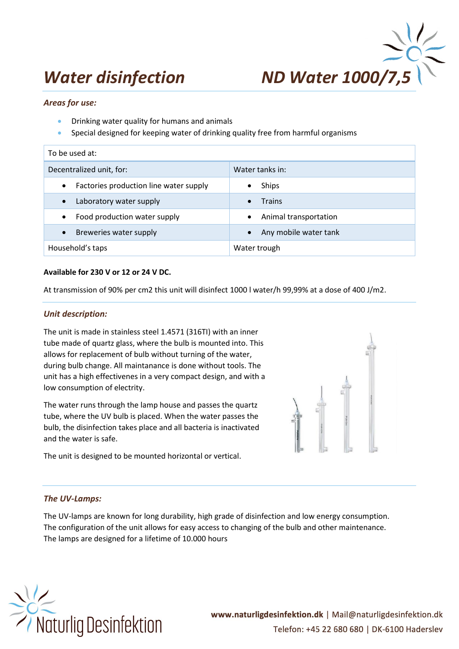# *Water disinfection ND Water 1000/*



## *Areas for use:*

- Drinking water quality for humans and animals
- Special designed for keeping water of drinking quality free from harmful organisms

| To be used at:                                      |                                    |  |  |
|-----------------------------------------------------|------------------------------------|--|--|
| Decentralized unit, for:                            | Water tanks in:                    |  |  |
| Factories production line water supply<br>$\bullet$ | <b>Ships</b><br>$\bullet$          |  |  |
| Laboratory water supply                             | <b>Trains</b><br>$\bullet$         |  |  |
| Food production water supply<br>$\bullet$           | Animal transportation<br>$\bullet$ |  |  |
| Breweries water supply                              | Any mobile water tank<br>$\bullet$ |  |  |
| Household's taps                                    | Water trough                       |  |  |

#### **Available for 230 V or 12 or 24 V DC.**

At transmission of 90% per cm2 this unit will disinfect 1000 l water/h 99,99% at a dose of 400 J/m2.

#### *Unit description:*

The unit is made in stainless steel 1.4571 (316TI) with an inner tube made of quartz glass, where the bulb is mounted into. This allows for replacement of bulb without turning of the water, during bulb change. All maintanance is done without tools. The unit has a high effectivenes in a very compact design, and with a low consumption of electrity.

The water runs through the lamp house and passes the quartz tube, where the UV bulb is placed. When the water passes the bulb, the disinfection takes place and all bacteria is inactivated and the water is safe.

The unit is designed to be mounted horizontal or vertical.



### *The UV-Lamps:*

The UV-lamps are known for long durability, high grade of disinfection and low energy consumption. The configuration of the unit allows for easy access to changing of the bulb and other maintenance. The lamps are designed for a lifetime of 10.000 hours